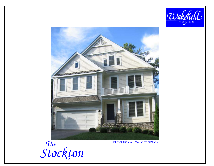



The Stockton

**ELEVATION A.1 W/ LOFT OPTION**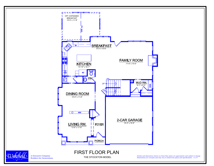

Wakefield A Genuario Company Builders for Generations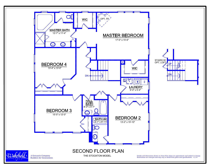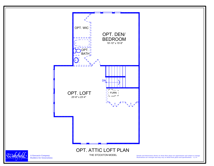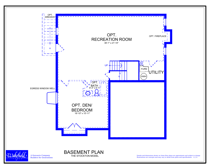

THE STOCKTON MODEL

A Genuario Company Builders for Generations

Details and dimensions shown on these floor plans are approximate and subject to change. Illustrations are concepts and may vary in detail from plans and specifications. 11/14